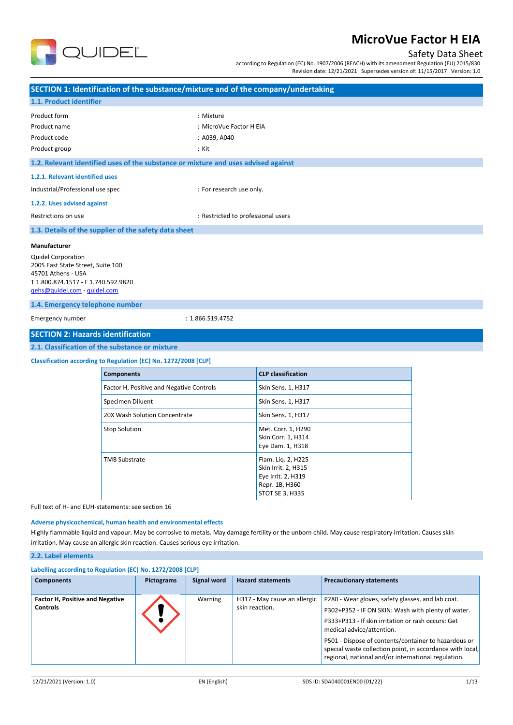

## Safety Data Sheet

according to Regulation (EC) No. 1907/2006 (REACH) with its amendment Regulation (EU) 2015/830 Revision date: 12/21/2021 Supersedes version of: 11/15/2017 Version: 1.0

| SECTION 1: Identification of the substance/mixture and of the company/undertaking |                                                                                    |                                    |                           |  |  |
|-----------------------------------------------------------------------------------|------------------------------------------------------------------------------------|------------------------------------|---------------------------|--|--|
| 1.1. Product identifier                                                           |                                                                                    |                                    |                           |  |  |
| Product form                                                                      |                                                                                    | : Mixture                          |                           |  |  |
| Product name                                                                      |                                                                                    | : MicroVue Factor H EIA            |                           |  |  |
| Product code                                                                      |                                                                                    | : A039, A040                       |                           |  |  |
| Product group                                                                     |                                                                                    | : Kit                              |                           |  |  |
|                                                                                   | 1.2. Relevant identified uses of the substance or mixture and uses advised against |                                    |                           |  |  |
| 1.2.1. Relevant identified uses                                                   |                                                                                    |                                    |                           |  |  |
|                                                                                   | Industrial/Professional use spec<br>: For research use only.                       |                                    |                           |  |  |
| 1.2.2. Uses advised against                                                       |                                                                                    |                                    |                           |  |  |
| Restrictions on use                                                               |                                                                                    | : Restricted to professional users |                           |  |  |
|                                                                                   | 1.3. Details of the supplier of the safety data sheet                              |                                    |                           |  |  |
| Manufacturer                                                                      |                                                                                    |                                    |                           |  |  |
| <b>Quidel Corporation</b><br>2005 East State Street, Suite 100                    |                                                                                    |                                    |                           |  |  |
| 45701 Athens - USA<br>T 1.800.874.1517 - F 1.740.592.9820                         |                                                                                    |                                    |                           |  |  |
| qehs@quidel.com - quidel.com                                                      |                                                                                    |                                    |                           |  |  |
| 1.4. Emergency telephone number                                                   |                                                                                    |                                    |                           |  |  |
| Emergency number                                                                  |                                                                                    | : 1.866.519.4752                   |                           |  |  |
| <b>SECTION 2: Hazards identification</b>                                          |                                                                                    |                                    |                           |  |  |
| 2.1. Classification of the substance or mixture                                   |                                                                                    |                                    |                           |  |  |
| Classification according to Regulation (EC) No. 1272/2008 [CLP]                   |                                                                                    |                                    |                           |  |  |
|                                                                                   | <b>Components</b>                                                                  |                                    | <b>CLP classification</b> |  |  |

| <b>Components</b>             |                                          | <b>CLP classification</b>                                                                            |  |
|-------------------------------|------------------------------------------|------------------------------------------------------------------------------------------------------|--|
|                               | Factor H, Positive and Negative Controls | Skin Sens. 1, H317                                                                                   |  |
| Specimen Diluent              |                                          | Skin Sens. 1, H317                                                                                   |  |
| 20X Wash Solution Concentrate |                                          | Skin Sens. 1, H317                                                                                   |  |
| <b>Stop Solution</b>          |                                          | Met. Corr. 1, H290<br>Skin Corr. 1, H314<br>Eye Dam. 1, H318                                         |  |
| <b>TMB Substrate</b>          |                                          | Flam. Lig. 2, H225<br>Skin Irrit. 2, H315<br>Eye Irrit. 2, H319<br>Repr. 1B, H360<br>STOT SE 3, H335 |  |

Full text of H- and EUH-statements: see section 16

### **Adverse physicochemical, human health and environmental effects**

Highly flammable liquid and vapour. May be corrosive to metals. May damage fertility or the unborn child. May cause respiratory irritation. Causes skin irritation. May cause an allergic skin reaction. Causes serious eye irritation.

## **2.2. Label elements**

| <b>Components</b>                                         | <b>Pictograms</b> | Signal word | <b>Hazard statements</b>                       | <b>Precautionary statements</b>                                                                                                                                                                                                                                                                                                                                        |
|-----------------------------------------------------------|-------------------|-------------|------------------------------------------------|------------------------------------------------------------------------------------------------------------------------------------------------------------------------------------------------------------------------------------------------------------------------------------------------------------------------------------------------------------------------|
| <b>Factor H, Positive and Negative</b><br><b>Controls</b> |                   | Warning     | H317 - May cause an allergic<br>skin reaction. | P280 - Wear gloves, safety glasses, and lab coat.<br>P302+P352 - IF ON SKIN: Wash with plenty of water.<br>P333+P313 - If skin irritation or rash occurs: Get<br>medical advice/attention.<br>P501 - Dispose of contents/container to hazardous or<br>special waste collection point, in accordance with local,<br>regional, national and/or international regulation. |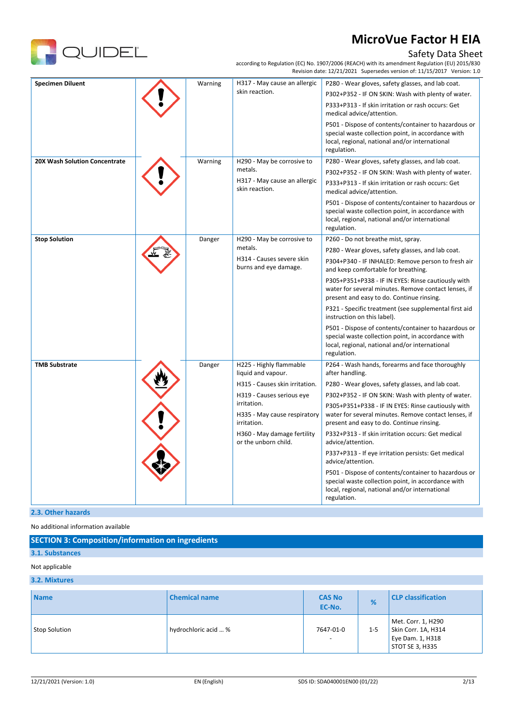

## Safety Data Sheet

according to Regulation (EC) No. 1907/2006 (REACH) with its amendment Regulation (EU) 2015/830 Revision date: 12/21/2021 Supersedes version of: 11/15/2017 Version: 1.0

| <b>Specimen Diluent</b>              | Warning | H317 - May cause an allergic<br>skin reaction.             | P280 - Wear gloves, safety glasses, and lab coat.                                                                                                                           |
|--------------------------------------|---------|------------------------------------------------------------|-----------------------------------------------------------------------------------------------------------------------------------------------------------------------------|
|                                      |         |                                                            | P302+P352 - IF ON SKIN: Wash with plenty of water.                                                                                                                          |
|                                      |         |                                                            | P333+P313 - If skin irritation or rash occurs: Get<br>medical advice/attention.                                                                                             |
|                                      |         |                                                            | P501 - Dispose of contents/container to hazardous or<br>special waste collection point, in accordance with<br>local, regional, national and/or international<br>regulation. |
| <b>20X Wash Solution Concentrate</b> | Warning | H290 - May be corrosive to                                 | P280 - Wear gloves, safety glasses, and lab coat.                                                                                                                           |
|                                      |         | metals.                                                    | P302+P352 - IF ON SKIN: Wash with plenty of water.                                                                                                                          |
|                                      |         | H317 - May cause an allergic<br>skin reaction.             | P333+P313 - If skin irritation or rash occurs: Get<br>medical advice/attention.                                                                                             |
|                                      |         |                                                            | P501 - Dispose of contents/container to hazardous or<br>special waste collection point, in accordance with<br>local, regional, national and/or international<br>regulation. |
| <b>Stop Solution</b>                 | Danger  | H290 - May be corrosive to                                 | P260 - Do not breathe mist, spray.                                                                                                                                          |
|                                      |         | metals.                                                    | P280 - Wear gloves, safety glasses, and lab coat.                                                                                                                           |
|                                      |         | H314 - Causes severe skin<br>burns and eye damage.         | P304+P340 - IF INHALED: Remove person to fresh air<br>and keep comfortable for breathing.                                                                                   |
|                                      |         |                                                            | P305+P351+P338 - IF IN EYES: Rinse cautiously with<br>water for several minutes. Remove contact lenses, if<br>present and easy to do. Continue rinsing.                     |
|                                      |         |                                                            | P321 - Specific treatment (see supplemental first aid<br>instruction on this label).                                                                                        |
|                                      |         |                                                            | P501 - Dispose of contents/container to hazardous or<br>special waste collection point, in accordance with<br>local, regional, national and/or international<br>regulation. |
| <b>TMB Substrate</b>                 | Danger  | H225 - Highly flammable<br>liquid and vapour.              | P264 - Wash hands, forearms and face thoroughly<br>after handling.                                                                                                          |
|                                      |         | H315 - Causes skin irritation.                             | P280 - Wear gloves, safety glasses, and lab coat.                                                                                                                           |
|                                      |         | H319 - Causes serious eye                                  | P302+P352 - IF ON SKIN: Wash with plenty of water.                                                                                                                          |
|                                      |         | irritation.<br>H335 - May cause respiratory<br>irritation. | P305+P351+P338 - IF IN EYES: Rinse cautiously with<br>water for several minutes. Remove contact lenses, if<br>present and easy to do. Continue rinsing.                     |
|                                      |         | H360 - May damage fertility<br>or the unborn child.        | P332+P313 - If skin irritation occurs: Get medical<br>advice/attention.                                                                                                     |
|                                      |         |                                                            | P337+P313 - If eye irritation persists: Get medical<br>advice/attention.                                                                                                    |
|                                      |         |                                                            | P501 - Dispose of contents/container to hazardous or<br>special waste collection point, in accordance with<br>local, regional, national and/or international<br>regulation. |

### **2.3. Other hazards**

No additional information available

| <b>SECTION 3: Composition/information on ingredients</b> |  |
|----------------------------------------------------------|--|
|----------------------------------------------------------|--|

## **3.1. Substances** Not applicable

### **3.2. Mixtures**

| <b>Name</b>          | <b>Chemical name</b> | <b>CAS No</b><br>EC-No.               | %       | <b>CLP</b> classification                                                        |
|----------------------|----------------------|---------------------------------------|---------|----------------------------------------------------------------------------------|
| <b>Stop Solution</b> | hydrochloric acid  % | 7647-01-0<br>$\overline{\phantom{a}}$ | $1 - 5$ | Met. Corr. 1, H290<br>Skin Corr. 1A, H314<br>Eye Dam. 1, H318<br>STOT SE 3, H335 |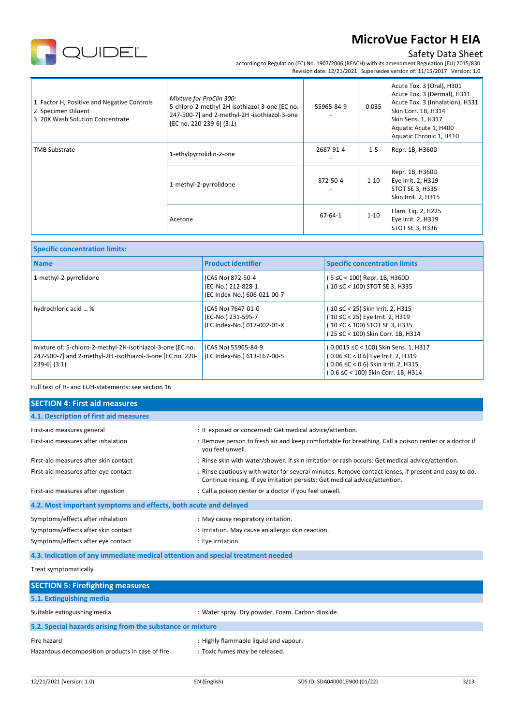## Safety Data Sheet

according to Regulation (EC) No. 1907/2006 (REACH) with its amendment Regulation (EU) 2015/830 Revision date: 12/21/2021 Supersedes version of: 11/15/2017 Version: 1.0

| 1. Factor H, Positive and Negative Controls<br>2. Specimen Diluent<br>3. 20X Wash Solution Concentrate | Mixture for ProClin 300:<br>5-chloro-2-methyl-2H-isothiazol-3-one [EC no.<br>247-500-7] and 2-methyl-2H -isothiazol-3-one<br>[EC no. 220-239-6] (3:1) | 55965-84-9 | 0.035    | Acute Tox. 3 (Oral), H301<br>Acute Tox. 3 (Dermal), H311<br>Acute Tox. 3 (Inhalation), H331<br>Skin Corr. 1B, H314<br>Skin Sens. 1, H317<br>Aquatic Acute 1, H400<br>Aquatic Chronic 1, H410 |
|--------------------------------------------------------------------------------------------------------|-------------------------------------------------------------------------------------------------------------------------------------------------------|------------|----------|----------------------------------------------------------------------------------------------------------------------------------------------------------------------------------------------|
| <b>TMB Substrate</b>                                                                                   | 1-ethylpyrrolidin-2-one                                                                                                                               | 2687-91-4  | $1 - 5$  | Repr. 1B, H360D                                                                                                                                                                              |
|                                                                                                        | 1-methyl-2-pyrrolidone                                                                                                                                | 872-50-4   | $1 - 10$ | Repr. 1B, H360D<br>Eye Irrit. 2, H319<br>STOT SE 3, H335<br>Skin Irrit. 2, H315                                                                                                              |
|                                                                                                        | Acetone                                                                                                                                               | 67-64-1    | $1 - 10$ | Flam. Lig. 2, H225<br>Eye Irrit. 2, H319<br>STOT SE 3, H336                                                                                                                                  |

| <b>Specific concentration limits:</b>                                                                                                       |                                                                         |                                                                                                                                                         |  |  |
|---------------------------------------------------------------------------------------------------------------------------------------------|-------------------------------------------------------------------------|---------------------------------------------------------------------------------------------------------------------------------------------------------|--|--|
| <b>Name</b>                                                                                                                                 | <b>Product identifier</b>                                               | <b>Specific concentration limits</b>                                                                                                                    |  |  |
| 1-methyl-2-pyrrolidone                                                                                                                      | (CAS No) 872-50-4<br>(EC-No.) 212-828-1<br>(EC Index-No.) 606-021-00-7  | (5 ≤C < 100) Repr. 1B, H360D<br>(10 ≤C < 100) STOT SE 3, H335                                                                                           |  |  |
| hydrochloric acid  %                                                                                                                        | (CAS No) 7647-01-0<br>(EC-No.) 231-595-7<br>(EC Index-No.) 017-002-01-X | (10 ≤C < 25) Skin Irrit. 2, H315<br>(10 ≤C < 25) Eye Irrit. 2, H319<br>(10 ≤C < 100) STOT SE 3, H335<br>(25 ≤C < 100) Skin Corr. 1B, H314               |  |  |
| mixture of: 5-chloro-2-methyl-2H-isothiazol-3-one [EC no.<br>247-500-7] and 2-methyl-2H -isothiazol-3-one [EC no. 220-<br>$239-6$ ] $(3:1)$ | (CAS No) 55965-84-9<br>(EC Index-No.) 613-167-00-5                      | (0.0015 ≤C < 100) Skin Sens. 1, H317<br>(0.06 ≤C < 0.6) Eye Irrit. 2, H319<br>(0.06 ≤C < 0.6) Skin Irrit. 2, H315<br>(0.6 ≤C < 100) Skin Corr. 1B, H314 |  |  |

Full text of H- and EUH-statements: see section 16

QUIDEL

| <b>SECTION 4: First aid measures</b>                                            |                                                                                                                                                                                     |
|---------------------------------------------------------------------------------|-------------------------------------------------------------------------------------------------------------------------------------------------------------------------------------|
| 4.1. Description of first aid measures                                          |                                                                                                                                                                                     |
| First-aid measures general                                                      | : IF exposed or concerned: Get medical advice/attention.                                                                                                                            |
| First-aid measures after inhalation                                             | : Remove person to fresh air and keep comfortable for breathing. Call a poison center or a doctor if<br>you feel unwell.                                                            |
| First-aid measures after skin contact                                           | : Rinse skin with water/shower. If skin irritation or rash occurs: Get medical advice/attention.                                                                                    |
| First-aid measures after eye contact                                            | : Rinse cautiously with water for several minutes. Remove contact lenses, if present and easy to do.<br>Continue rinsing. If eye irritation persists: Get medical advice/attention. |
| First-aid measures after ingestion                                              | : Call a poison center or a doctor if you feel unwell.                                                                                                                              |
| 4.2. Most important symptoms and effects, both acute and delayed                |                                                                                                                                                                                     |
| Symptoms/effects after inhalation                                               | : May cause respiratory irritation.                                                                                                                                                 |
| Symptoms/effects after skin contact                                             | : Irritation. May cause an allergic skin reaction.                                                                                                                                  |
| Symptoms/effects after eye contact                                              | : Eye irritation.                                                                                                                                                                   |
| 4.3. Indication of any immediate medical attention and special treatment needed |                                                                                                                                                                                     |
| Treat symptomatically.                                                          |                                                                                                                                                                                     |
| <b>SECTION 5: Firefighting measures</b>                                         |                                                                                                                                                                                     |

| <b>SECTION 5: Firefighting measures</b>                         |                                                                         |  |  |  |
|-----------------------------------------------------------------|-------------------------------------------------------------------------|--|--|--|
| 5.1. Extinguishing media                                        |                                                                         |  |  |  |
| Suitable extinguishing media                                    | : Water spray. Dry powder. Foam. Carbon dioxide.                        |  |  |  |
| 5.2. Special hazards arising from the substance or mixture      |                                                                         |  |  |  |
| Fire hazard<br>Hazardous decomposition products in case of fire | : Highly flammable liquid and vapour.<br>: Toxic fumes may be released. |  |  |  |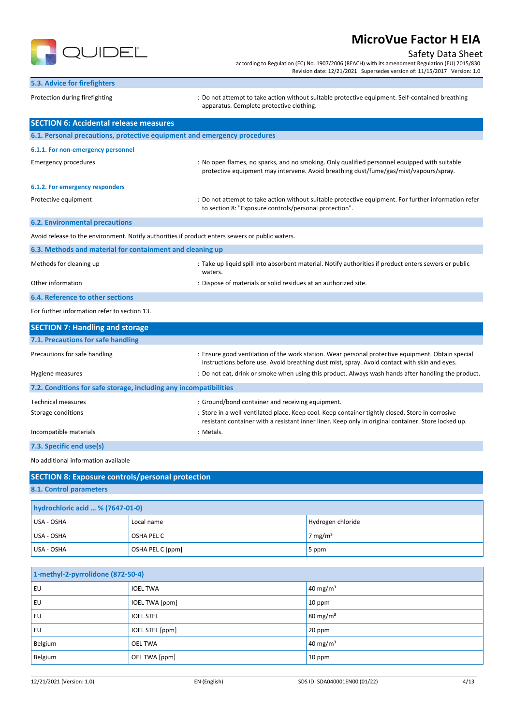

## Safety Data Sheet

according to Regulation (EC) No. 1907/2006 (REACH) with its amendment Regulation (EU) 2015/830 Revision date: 12/21/2021 Supersedes version of: 11/15/2017 Version: 1.0

| 5.3. Advice for firefighters                                             |                                                                                                                  |                                                                                                                                                                                                         |                                                                                                      |  |
|--------------------------------------------------------------------------|------------------------------------------------------------------------------------------------------------------|---------------------------------------------------------------------------------------------------------------------------------------------------------------------------------------------------------|------------------------------------------------------------------------------------------------------|--|
| Protection during firefighting                                           |                                                                                                                  | : Do not attempt to take action without suitable protective equipment. Self-contained breathing<br>apparatus. Complete protective clothing.                                                             |                                                                                                      |  |
| <b>SECTION 6: Accidental release measures</b>                            |                                                                                                                  |                                                                                                                                                                                                         |                                                                                                      |  |
| 6.1. Personal precautions, protective equipment and emergency procedures |                                                                                                                  |                                                                                                                                                                                                         |                                                                                                      |  |
| 6.1.1. For non-emergency personnel                                       |                                                                                                                  |                                                                                                                                                                                                         |                                                                                                      |  |
| <b>Emergency procedures</b>                                              |                                                                                                                  | : No open flames, no sparks, and no smoking. Only qualified personnel equipped with suitable<br>protective equipment may intervene. Avoid breathing dust/fume/gas/mist/vapours/spray.                   |                                                                                                      |  |
| 6.1.2. For emergency responders                                          |                                                                                                                  |                                                                                                                                                                                                         |                                                                                                      |  |
| Protective equipment                                                     |                                                                                                                  | to section 8: "Exposure controls/personal protection".                                                                                                                                                  | : Do not attempt to take action without suitable protective equipment. For further information refer |  |
| <b>6.2. Environmental precautions</b>                                    |                                                                                                                  |                                                                                                                                                                                                         |                                                                                                      |  |
|                                                                          |                                                                                                                  | Avoid release to the environment. Notify authorities if product enters sewers or public waters.                                                                                                         |                                                                                                      |  |
| 6.3. Methods and material for containment and cleaning up                |                                                                                                                  |                                                                                                                                                                                                         |                                                                                                      |  |
| Methods for cleaning up                                                  | : Take up liquid spill into absorbent material. Notify authorities if product enters sewers or public<br>waters. |                                                                                                                                                                                                         |                                                                                                      |  |
| Other information                                                        |                                                                                                                  | : Dispose of materials or solid residues at an authorized site.                                                                                                                                         |                                                                                                      |  |
| 6.4. Reference to other sections                                         |                                                                                                                  |                                                                                                                                                                                                         |                                                                                                      |  |
| For further information refer to section 13.                             |                                                                                                                  |                                                                                                                                                                                                         |                                                                                                      |  |
| <b>SECTION 7: Handling and storage</b>                                   |                                                                                                                  |                                                                                                                                                                                                         |                                                                                                      |  |
| 7.1. Precautions for safe handling                                       |                                                                                                                  |                                                                                                                                                                                                         |                                                                                                      |  |
| Precautions for safe handling                                            |                                                                                                                  | : Ensure good ventilation of the work station. Wear personal protective equipment. Obtain special<br>instructions before use. Avoid breathing dust mist, spray. Avoid contact with skin and eyes.       |                                                                                                      |  |
| Hygiene measures                                                         |                                                                                                                  | : Do not eat, drink or smoke when using this product. Always wash hands after handling the product.                                                                                                     |                                                                                                      |  |
| 7.2. Conditions for safe storage, including any incompatibilities        |                                                                                                                  |                                                                                                                                                                                                         |                                                                                                      |  |
| <b>Technical measures</b>                                                |                                                                                                                  | : Ground/bond container and receiving equipment.                                                                                                                                                        |                                                                                                      |  |
| Storage conditions                                                       |                                                                                                                  | : Store in a well-ventilated place. Keep cool. Keep container tightly closed. Store in corrosive<br>resistant container with a resistant inner liner. Keep only in original container. Store locked up. |                                                                                                      |  |
| Incompatible materials                                                   | : Metals.                                                                                                        |                                                                                                                                                                                                         |                                                                                                      |  |
| 7.3. Specific end use(s)                                                 |                                                                                                                  |                                                                                                                                                                                                         |                                                                                                      |  |
| No additional information available                                      |                                                                                                                  |                                                                                                                                                                                                         |                                                                                                      |  |
| <b>SECTION 8: Exposure controls/personal protection</b>                  |                                                                                                                  |                                                                                                                                                                                                         |                                                                                                      |  |
| 8.1. Control parameters                                                  |                                                                                                                  |                                                                                                                                                                                                         |                                                                                                      |  |
| hydrochloric acid  % (7647-01-0)                                         |                                                                                                                  |                                                                                                                                                                                                         |                                                                                                      |  |
| USA - OSHA                                                               | Local name                                                                                                       |                                                                                                                                                                                                         | Hydrogen chloride                                                                                    |  |

| I USA - USHA | Local name       | Tributogen chioride |
|--------------|------------------|---------------------|
| USA - OSHA   | OSHA PEL C       | 7 mg/m <sup>3</sup> |
| USA - OSHA   | OSHA PEL C [ppm] | 5 ppm               |
|              |                  |                     |

| 1-methyl-2-pyrrolidone (872-50-4) |                  |                     |
|-----------------------------------|------------------|---------------------|
| EU                                | <b>IOEL TWA</b>  | $40 \text{ mg/m}^3$ |
| EU                                | IOEL TWA [ppm]   | 10 ppm              |
| EU                                | <b>IOEL STEL</b> | $80 \text{ mg/m}^3$ |
| EU                                | IOEL STEL [ppm]  | $20$ ppm            |
| Belgium                           | <b>OEL TWA</b>   | $40 \text{ mg/m}^3$ |
| Belgium                           | OEL TWA [ppm]    | 10 ppm              |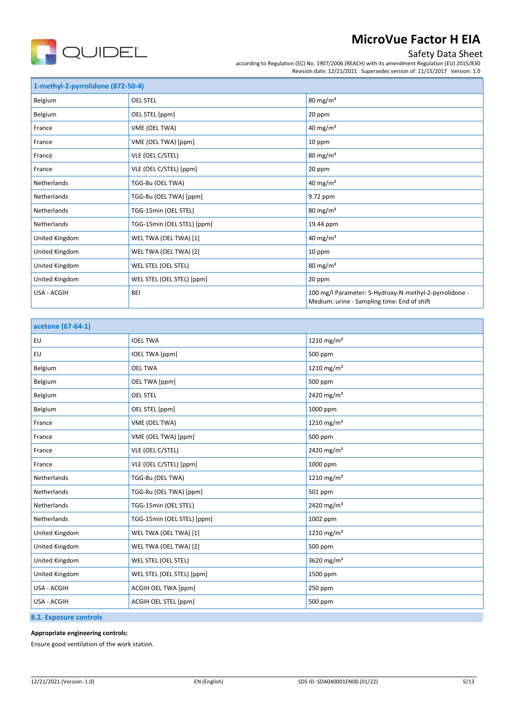

## Safety Data Sheet

according to Regulation (EC) No. 1907/2006 (REACH) with its amendment Regulation (EU) 2015/830 Revision date: 12/21/2021 Supersedes version of: 11/15/2017 Version: 1.0

| 1-methyl-2-pyrrolidone (872-50-4) |                            |                                                                                                       |  |  |
|-----------------------------------|----------------------------|-------------------------------------------------------------------------------------------------------|--|--|
| Belgium                           | <b>OEL STEL</b>            | $80 \text{ mg/m}^3$                                                                                   |  |  |
| Belgium                           | OEL STEL [ppm]             | 20 ppm                                                                                                |  |  |
| France                            | VME (OEL TWA)              | 40 mg/m <sup>3</sup>                                                                                  |  |  |
| France                            | VME (OEL TWA) [ppm]        | 10 ppm                                                                                                |  |  |
| France                            | VLE (OEL C/STEL)           | $80 \text{ mg/m}^3$                                                                                   |  |  |
| France                            | VLE (OEL C/STEL) [ppm]     | 20 ppm                                                                                                |  |  |
| <b>Netherlands</b>                | TGG-8u (OEL TWA)           | 40 mg/m <sup>3</sup>                                                                                  |  |  |
| Netherlands                       | TGG-8u (OEL TWA) [ppm]     | 9.72 ppm                                                                                              |  |  |
| <b>Netherlands</b>                | TGG-15min (OEL STEL)       | $80 \text{ mg/m}^3$                                                                                   |  |  |
| <b>Netherlands</b>                | TGG-15min (OEL STEL) [ppm] | 19.44 ppm                                                                                             |  |  |
| United Kingdom                    | WEL TWA (OEL TWA) [1]      | 40 mg/m <sup>3</sup>                                                                                  |  |  |
| United Kingdom                    | WEL TWA (OEL TWA) [2]      | 10 ppm                                                                                                |  |  |
| United Kingdom                    | WEL STEL (OEL STEL)        | $80 \text{ mg/m}^3$                                                                                   |  |  |
| United Kingdom                    | WEL STEL (OEL STEL) [ppm]  | 20 ppm                                                                                                |  |  |
| USA - ACGIH                       | BEI                        | 100 mg/l Parameter: 5-Hydroxy-N-methyl-2-pyrrolidone -<br>Medium: urine - Sampling time: End of shift |  |  |

| acetone (67-64-1) |                            |                        |  |
|-------------------|----------------------------|------------------------|--|
| EU                | <b>IOEL TWA</b>            | 1210 mg/m <sup>3</sup> |  |
| EU                | <b>IOEL TWA [ppm]</b>      | 500 ppm                |  |
| Belgium           | <b>OEL TWA</b>             | 1210 mg/m <sup>3</sup> |  |
| Belgium           | OEL TWA [ppm]              | 500 ppm                |  |
| Belgium           | <b>OEL STEL</b>            | 2420 mg/m <sup>3</sup> |  |
| Belgium           | OEL STEL [ppm]             | 1000 ppm               |  |
| France            | VME (OEL TWA)              | 1210 mg/m $3$          |  |
| France            | VME (OEL TWA) [ppm]        | 500 ppm                |  |
| France            | VLE (OEL C/STEL)           | 2420 mg/m <sup>3</sup> |  |
| France            | VLE (OEL C/STEL) [ppm]     | 1000 ppm               |  |
| Netherlands       | TGG-8u (OEL TWA)           | 1210 mg/m <sup>3</sup> |  |
| Netherlands       | TGG-8u (OEL TWA) [ppm]     | 501 ppm                |  |
| Netherlands       | TGG-15min (OEL STEL)       | 2420 mg/m <sup>3</sup> |  |
| Netherlands       | TGG-15min (OEL STEL) [ppm] | 1002 ppm               |  |
| United Kingdom    | WEL TWA (OEL TWA) [1]      | 1210 mg/m <sup>3</sup> |  |
| United Kingdom    | WEL TWA (OEL TWA) [2]      | 500 ppm                |  |
| United Kingdom    | WEL STEL (OEL STEL)        | 3620 mg/m <sup>3</sup> |  |
| United Kingdom    | WEL STEL (OEL STEL) [ppm]  | 1500 ppm               |  |
| USA - ACGIH       | <b>ACGIH OEL TWA [ppm]</b> | 250 ppm                |  |
| USA - ACGIH       | ACGIH OEL STEL [ppm]       | 500 ppm                |  |

**8.2. Exposure controls**

### **Appropriate engineering controls:**

Ensure good ventilation of the work station.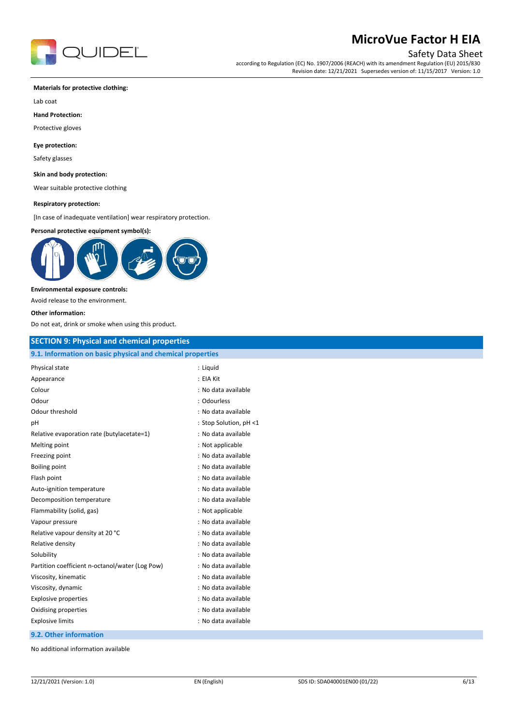

## Safety Data Sheet

according to Regulation (EC) No. 1907/2006 (REACH) with its amendment Regulation (EU) 2015/830 Revision date: 12/21/2021 Supersedes version of: 11/15/2017 Version: 1.0

#### **Materials for protective clothing:**

Lab coat

**Hand Protection:**

Protective gloves

### **Eye protection:**

Safety glasses

### **Skin and body protection:**

Wear suitable protective clothing

#### **Respiratory protection:**

[In case of inadequate ventilation] wear respiratory protection.

#### **Personal protective equipment symbol(s):**



#### **Environmental exposure controls:**

Avoid release to the environment.

#### **Other information:**

Do not eat, drink or smoke when using this product.

## **SECTION 9: Physical and chemical properties**

| Physical state                                  | : Liguid               |
|-------------------------------------------------|------------------------|
| Appearance                                      | : EIA Kit              |
| Colour                                          | : No data available    |
| Odour                                           | : Odourless            |
| Odour threshold                                 | : No data available    |
| рH                                              | : Stop Solution, pH <1 |
| Relative evaporation rate (butylacetate=1)      | : No data available    |
| Melting point                                   | : Not applicable       |
| Freezing point                                  | : No data available    |
| Boiling point                                   | : No data available    |
| Flash point                                     | : No data available    |
| Auto-ignition temperature                       | : No data available    |
| Decomposition temperature                       | : No data available    |
| Flammability (solid, gas)                       | : Not applicable       |
| Vapour pressure                                 | : No data available    |
| Relative vapour density at 20 °C                | : No data available    |
| Relative density                                | : No data available    |
| Solubility                                      | : No data available    |
| Partition coefficient n-octanol/water (Log Pow) | : No data available    |
| Viscosity, kinematic                            | : No data available    |
| Viscosity, dynamic                              | : No data available    |
| <b>Explosive properties</b>                     | : No data available    |
| Oxidising properties                            | : No data available    |
| <b>Explosive limits</b>                         | : No data available    |

**9.2. Other information**

No additional information available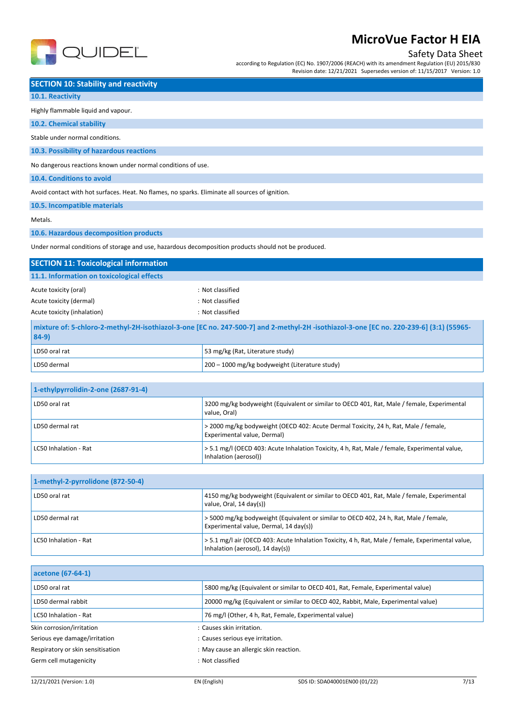

## Safety Data Sheet

according to Regulation (EC) No. 1907/2006 (REACH) with its amendment Regulation (EU) 2015/830 Revision date: 12/21/2021 Supersedes version of: 11/15/2017 Version: 1.0

### **SECTION 10: Stability and reactivity**

### **10.1. Reactivity**

### Highly flammable liquid and vapour.

#### **10.2. Chemical stability**

Stable under normal conditions.

### **10.3. Possibility of hazardous reactions**

No dangerous reactions known under normal conditions of use.

### **10.4. Conditions to avoid**

Avoid contact with hot surfaces. Heat. No flames, no sparks. Eliminate all sources of ignition.

**10.5. Incompatible materials**

#### Metals.

**10.6. Hazardous decomposition products**

Under normal conditions of storage and use, hazardous decomposition products should not be produced.

| <b>SECTION 11: Toxicological information</b>                                                                                                     |                                                |  |  |  |
|--------------------------------------------------------------------------------------------------------------------------------------------------|------------------------------------------------|--|--|--|
| 11.1. Information on toxicological effects                                                                                                       |                                                |  |  |  |
| Acute toxicity (oral)                                                                                                                            | : Not classified                               |  |  |  |
| Acute toxicity (dermal)                                                                                                                          | : Not classified                               |  |  |  |
| Acute toxicity (inhalation)                                                                                                                      | : Not classified                               |  |  |  |
| mixture of: 5-chloro-2-methyl-2H-isothiazol-3-one [EC no. 247-500-7] and 2-methyl-2H-isothiazol-3-one [EC no. 220-239-6] (3:1) (55965-<br>$84-9$ |                                                |  |  |  |
| LD50 oral rat                                                                                                                                    | 53 mg/kg (Rat, Literature study)               |  |  |  |
| LD50 dermal                                                                                                                                      | 200 – 1000 mg/kg bodyweight (Literature study) |  |  |  |

| 1-ethylpyrrolidin-2-one (2687-91-4) |                                                                                                                        |  |
|-------------------------------------|------------------------------------------------------------------------------------------------------------------------|--|
| LD50 oral rat                       | 3200 mg/kg bodyweight (Equivalent or similar to OECD 401, Rat, Male / female, Experimental<br>value. Oral)             |  |
| LD50 dermal rat                     | > 2000 mg/kg bodyweight (OECD 402: Acute Dermal Toxicity, 24 h, Rat, Male / female,<br>Experimental value, Dermal)     |  |
| LC50 Inhalation - Rat               | > 5.1 mg/l (OECD 403: Acute Inhalation Toxicity, 4 h, Rat, Male / female, Experimental value,<br>Inhalation (aerosol)) |  |

| 1-methyl-2-pyrrolidone (872-50-4) |                                                                                                                                       |  |
|-----------------------------------|---------------------------------------------------------------------------------------------------------------------------------------|--|
| LD50 oral rat                     | 4150 mg/kg bodyweight (Equivalent or similar to OECD 401, Rat, Male / female, Experimental<br>value, Oral, 14 day(s))                 |  |
| LD50 dermal rat                   | > 5000 mg/kg bodyweight (Equivalent or similar to OECD 402, 24 h, Rat, Male / female,<br>Experimental value, Dermal, 14 day(s))       |  |
| LC50 Inhalation - Rat             | > 5.1 mg/l air (OECD 403: Acute Inhalation Toxicity, 4 h, Rat, Male / female, Experimental value,<br>Inhalation (aerosol), 14 day(s)) |  |

| acetone (67-64-1)                 |                                                                                   |  |
|-----------------------------------|-----------------------------------------------------------------------------------|--|
| LD50 oral rat                     | 5800 mg/kg (Equivalent or similar to OECD 401, Rat, Female, Experimental value)   |  |
| LD50 dermal rabbit                | 20000 mg/kg (Equivalent or similar to OECD 402, Rabbit, Male, Experimental value) |  |
| LC50 Inhalation - Rat             | 76 mg/l (Other, 4 h, Rat, Female, Experimental value)                             |  |
| Skin corrosion/irritation         | : Causes skin irritation.                                                         |  |
| Serious eye damage/irritation     | : Causes serious eye irritation.                                                  |  |
| Respiratory or skin sensitisation | : May cause an allergic skin reaction.                                            |  |
| Germ cell mutagenicity            | : Not classified                                                                  |  |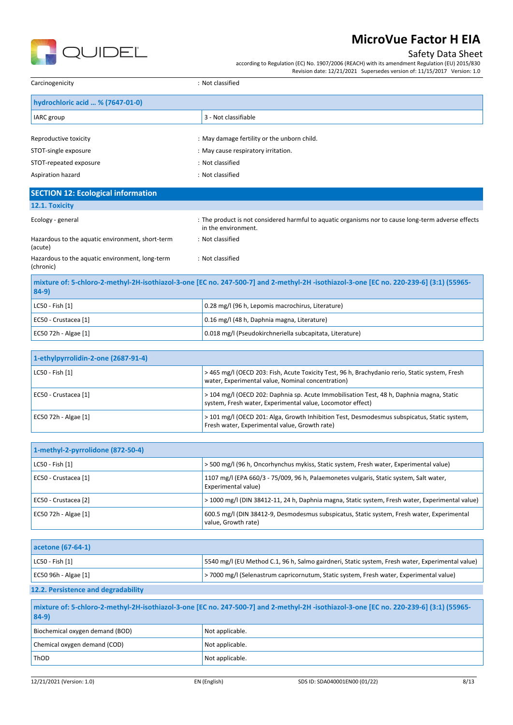

## Safety Data Sheet

according to Regulation (EC) No. 1907/2006 (REACH) with its amendment Regulation (EU) 2015/830 Revision date: 12/21/2021 Supersedes version of: 11/15/2017 Version: 1.0

| Carcinogenicity                  | : Not classified                            |  |
|----------------------------------|---------------------------------------------|--|
| hydrochloric acid  % (7647-01-0) |                                             |  |
| <b>IARC</b> group                | 3 - Not classifiable                        |  |
|                                  |                                             |  |
| Reproductive toxicity            | : May damage fertility or the unborn child. |  |
| STOT-single exposure             | : May cause respiratory irritation.         |  |
| STOT-repeated exposure           | : Not classified                            |  |
| Aspiration hazard                | : Not classified                            |  |

## **SECTION 12: Ecological information**

|  |  |  |  | 12.1. Toxicity |  |  |
|--|--|--|--|----------------|--|--|
|--|--|--|--|----------------|--|--|

| Ecology - general                                            | : The product is not considered harmful to aquatic organisms nor to cause long-term adverse effects<br>in the environment.             |
|--------------------------------------------------------------|----------------------------------------------------------------------------------------------------------------------------------------|
| Hazardous to the aquatic environment, short-term<br>(acute)  | : Not classified                                                                                                                       |
| Hazardous to the aquatic environment, long-term<br>(chronic) | : Not classified                                                                                                                       |
| $84-9)$                                                      | mixture of: 5-chloro-2-methyl-2H-isothiazol-3-one [EC no. 247-500-7] and 2-methyl-2H-isothiazol-3-one [EC no. 220-239-6] (3:1) (55965- |

| ו שידישו              |                                                          |
|-----------------------|----------------------------------------------------------|
| $ $ LC50 - Fish $[1]$ | 0.28 mg/l (96 h, Lepomis macrochirus, Literature)        |
| EC50 - Crustacea [1]  | 0.16 mg/l (48 h, Daphnia magna, Literature)              |
| EC50 72h - Algae [1]  | 0.018 mg/l (Pseudokirchneriella subcapitata, Literature) |

| 1-ethylpyrrolidin-2-one (2687-91-4) |                                                                                                                                                        |
|-------------------------------------|--------------------------------------------------------------------------------------------------------------------------------------------------------|
| LC50 - Fish [1]                     | > 465 mg/l (OECD 203: Fish, Acute Toxicity Test, 96 h, Brachydanio rerio, Static system, Fresh<br>water, Experimental value, Nominal concentration)    |
| EC50 - Crustacea [1]                | > 104 mg/l (OECD 202: Daphnia sp. Acute Immobilisation Test, 48 h, Daphnia magna, Static<br>system, Fresh water, Experimental value, Locomotor effect) |
| EC50 72h - Algae [1]                | > 101 mg/l (OECD 201: Alga, Growth Inhibition Test, Desmodesmus subspicatus, Static system,<br>Fresh water, Experimental value, Growth rate)           |

| 1-methyl-2-pyrrolidone (872-50-4) |                                                                                                                   |
|-----------------------------------|-------------------------------------------------------------------------------------------------------------------|
| LC50 - Fish [1]                   | > 500 mg/l (96 h, Oncorhynchus mykiss, Static system, Fresh water, Experimental value)                            |
| EC50 - Crustacea [1]              | 1107 mg/l (EPA 660/3 - 75/009, 96 h, Palaemonetes vulgaris, Static system, Salt water,<br>Experimental value)     |
| EC50 - Crustacea [2]              | > 1000 mg/l (DIN 38412-11, 24 h, Daphnia magna, Static system, Fresh water, Experimental value)                   |
| EC50 72h - Algae [1]              | 600.5 mg/l (DIN 38412-9, Desmodesmus subspicatus, Static system, Fresh water, Experimental<br>value, Growth rate) |

| acetone (67-64-1)                   |                                                                                                  |
|-------------------------------------|--------------------------------------------------------------------------------------------------|
| $ $ LC50 - Fish $[1]$               | 5540 mg/l (EU Method C.1, 96 h, Salmo gairdneri, Static system, Fresh water, Experimental value) |
| EC50 96h - Algae $[1]$              | >7000 mg/l (Selenastrum capricornutum, Static system, Fresh water, Experimental value)           |
| 12.2. Persistence and degradability |                                                                                                  |

| mixture of: 5-chloro-2-methyl-2H-isothiazol-3-one [EC no. 247-500-7] and 2-methyl-2H-isothiazol-3-one [EC no. 220-239-6] (3:1) (55965-<br>$84-9$ |                 |
|--------------------------------------------------------------------------------------------------------------------------------------------------|-----------------|
| Biochemical oxygen demand (BOD)                                                                                                                  | Not applicable. |
| Chemical oxygen demand (COD)                                                                                                                     | Not applicable. |
| ThOD                                                                                                                                             | Not applicable. |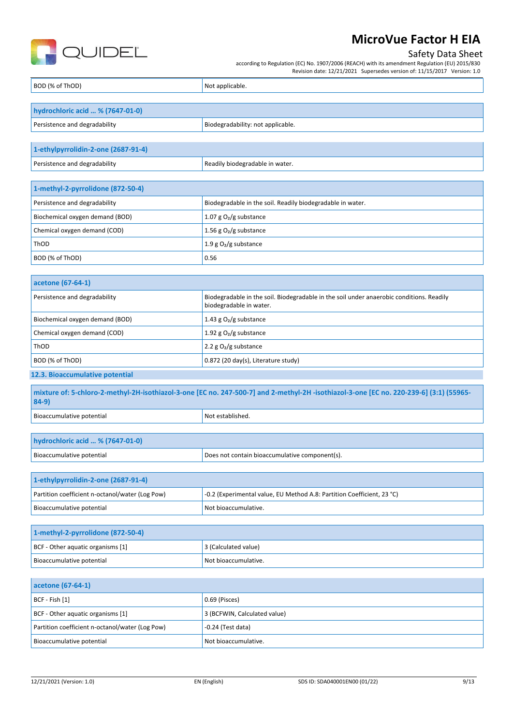

| QUIDEL                                          | Safety Data Sheet<br>according to Regulation (EC) No. 1907/2006 (REACH) with its amendment Regulation (EU) 2015/830<br>Revision date: 12/21/2021 Supersedes version of: 11/15/2017 Version: 1.0 |  |
|-------------------------------------------------|-------------------------------------------------------------------------------------------------------------------------------------------------------------------------------------------------|--|
| BOD (% of ThOD)                                 | Not applicable.                                                                                                                                                                                 |  |
|                                                 |                                                                                                                                                                                                 |  |
| hydrochloric acid  % (7647-01-0)                |                                                                                                                                                                                                 |  |
| Persistence and degradability                   | Biodegradability: not applicable.                                                                                                                                                               |  |
| 1-ethylpyrrolidin-2-one (2687-91-4)             |                                                                                                                                                                                                 |  |
| Persistence and degradability                   | Readily biodegradable in water.                                                                                                                                                                 |  |
|                                                 |                                                                                                                                                                                                 |  |
| 1-methyl-2-pyrrolidone (872-50-4)               |                                                                                                                                                                                                 |  |
| Persistence and degradability                   | Biodegradable in the soil. Readily biodegradable in water.                                                                                                                                      |  |
| Biochemical oxygen demand (BOD)                 | 1.07 g $O_2/g$ substance                                                                                                                                                                        |  |
| Chemical oxygen demand (COD)                    | 1.56 g $O2/g$ substance                                                                                                                                                                         |  |
| ThOD                                            | 1.9 $g O2/g$ substance                                                                                                                                                                          |  |
| BOD (% of ThOD)                                 | 0.56                                                                                                                                                                                            |  |
| acetone (67-64-1)                               |                                                                                                                                                                                                 |  |
| Persistence and degradability                   | Biodegradable in the soil. Biodegradable in the soil under anaerobic conditions. Readily<br>biodegradable in water.                                                                             |  |
| Biochemical oxygen demand (BOD)                 | 1.43 g $O2/g$ substance                                                                                                                                                                         |  |
| Chemical oxygen demand (COD)                    | 1.92 g $O2/g$ substance                                                                                                                                                                         |  |
| ThOD                                            | 2.2 g O <sub>2</sub> /g substance                                                                                                                                                               |  |
| BOD (% of ThOD)                                 | 0.872 (20 day(s), Literature study)                                                                                                                                                             |  |
| 12.3. Bioaccumulative potential                 |                                                                                                                                                                                                 |  |
| 84-9)                                           | mixture of: 5-chloro-2-methyl-2H-isothiazol-3-one [EC no. 247-500-7] and 2-methyl-2H -isothiazol-3-one [EC no. 220-239-6] (3:1) (55965-                                                         |  |
| Bioaccumulative potential                       | Not established.                                                                                                                                                                                |  |
|                                                 |                                                                                                                                                                                                 |  |
| hydrochloric acid  % (7647-01-0)                |                                                                                                                                                                                                 |  |
| Bioaccumulative potential                       | Does not contain bioaccumulative component(s).                                                                                                                                                  |  |
| 1-ethylpyrrolidin-2-one (2687-91-4)             |                                                                                                                                                                                                 |  |
| Partition coefficient n-octanol/water (Log Pow) | -0.2 (Experimental value, EU Method A.8: Partition Coefficient, 23 °C)                                                                                                                          |  |
| Bioaccumulative potential                       | Not bioaccumulative.                                                                                                                                                                            |  |
|                                                 |                                                                                                                                                                                                 |  |
| 1-methyl-2-pyrrolidone (872-50-4)               |                                                                                                                                                                                                 |  |
| BCF - Other aquatic organisms [1]               | 3 (Calculated value)                                                                                                                                                                            |  |
| Bioaccumulative potential                       | Not bioaccumulative.                                                                                                                                                                            |  |
| acetone (67-64-1)                               |                                                                                                                                                                                                 |  |
| BCF - Fish [1]                                  | 0.69 (Pisces)                                                                                                                                                                                   |  |
| BCF - Other aquatic organisms [1]               | 3 (BCFWIN, Calculated value)                                                                                                                                                                    |  |
| Partition coefficient n-octanol/water (Log Pow) | $-0.24$ (Test data)                                                                                                                                                                             |  |
| Bioaccumulative potential                       | Not bioaccumulative.                                                                                                                                                                            |  |
|                                                 |                                                                                                                                                                                                 |  |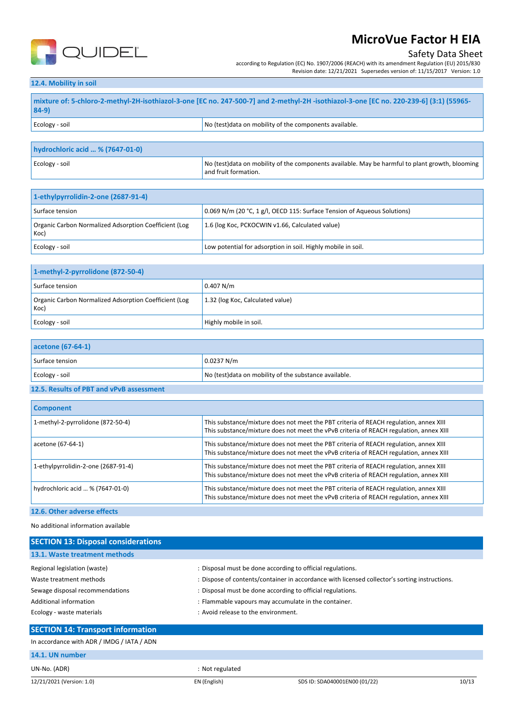

## Safety Data Sheet

according to Regulation (EC) No. 1907/2006 (REACH) with its amendment Regulation (EU) 2015/830 Revision date: 12/21/2021 Supersedes version of: 11/15/2017 Version: 1.0

### **12.4. Mobility in soil**

| mixture of: 5-chloro-2-methyl-2H-isothiazol-3-one [EC no. 247-500-7] and 2-methyl-2H-isothiazol-3-one [EC no. 220-239-6] (3:1) (55965-<br>$84-9$ |                                                         |
|--------------------------------------------------------------------------------------------------------------------------------------------------|---------------------------------------------------------|
| Ecology - soil                                                                                                                                   | No (test) data on mobility of the components available. |

| hydrochloric acid  % (7647-01-0) |                                                                                                                          |
|----------------------------------|--------------------------------------------------------------------------------------------------------------------------|
| Ecology - soil                   | No (test) data on mobility of the components available. May be harmful to plant growth, blooming<br>and fruit formation. |

| 1-ethylpyrrolidin-2-one (2687-91-4)                           |                                                                          |
|---------------------------------------------------------------|--------------------------------------------------------------------------|
| Surface tension                                               | 0.069 N/m (20 °C, 1 g/l, OECD 115: Surface Tension of Aqueous Solutions) |
| Organic Carbon Normalized Adsorption Coefficient (Log<br>Koc) | 1.6 (log Koc, PCKOCWIN v1.66, Calculated value)                          |
| Ecology - soil                                                | Low potential for adsorption in soil. Highly mobile in soil.             |

| 1-methyl-2-pyrrolidone (872-50-4)                             |                                  |
|---------------------------------------------------------------|----------------------------------|
| Surface tension                                               | 0.407 N/m                        |
| Organic Carbon Normalized Adsorption Coefficient (Log<br>Koc) | 1.32 (log Koc, Calculated value) |
| Ecology - soil                                                | Highly mobile in soil.           |

| acetone (67-64-1) |                                                        |
|-------------------|--------------------------------------------------------|
| Surface tension   | 0.0237 N/m                                             |
| Ecology - soil    | No (test) data on mobility of the substance available. |

#### **12.5. Results of PBT and vPvB assessment**

| <b>Component</b>                    |                                                                                                                                                                                 |
|-------------------------------------|---------------------------------------------------------------------------------------------------------------------------------------------------------------------------------|
| 1-methyl-2-pyrrolidone (872-50-4)   | This substance/mixture does not meet the PBT criteria of REACH regulation, annex XIII<br>This substance/mixture does not meet the vPvB criteria of REACH regulation, annex XIII |
| acetone (67-64-1)                   | This substance/mixture does not meet the PBT criteria of REACH regulation, annex XIII<br>This substance/mixture does not meet the vPvB criteria of REACH regulation, annex XIII |
| 1-ethylpyrrolidin-2-one (2687-91-4) | This substance/mixture does not meet the PBT criteria of REACH regulation, annex XIII<br>This substance/mixture does not meet the vPvB criteria of REACH regulation, annex XIII |
| hydrochloric acid  % (7647-01-0)    | This substance/mixture does not meet the PBT criteria of REACH regulation, annex XIII<br>This substance/mixture does not meet the vPvB criteria of REACH regulation, annex XIII |
| 12.6. Other adverse effects         |                                                                                                                                                                                 |

No additional information available

| <b>SECTION 13: Disposal considerations</b> |                                                                                               |
|--------------------------------------------|-----------------------------------------------------------------------------------------------|
| 13.1. Waste treatment methods              |                                                                                               |
| Regional legislation (waste)               | : Disposal must be done according to official regulations.                                    |
| Waste treatment methods                    | : Dispose of contents/container in accordance with licensed collector's sorting instructions. |
| Sewage disposal recommendations            | : Disposal must be done according to official regulations.                                    |
| Additional information                     | : Flammable vapours may accumulate in the container.                                          |
| Ecology - waste materials                  | : Avoid release to the environment.                                                           |
| <b>SECTION 14: Transport information</b>   |                                                                                               |

In accordance with ADR / IMDG / IATA / ADN

### **14.1. UN number**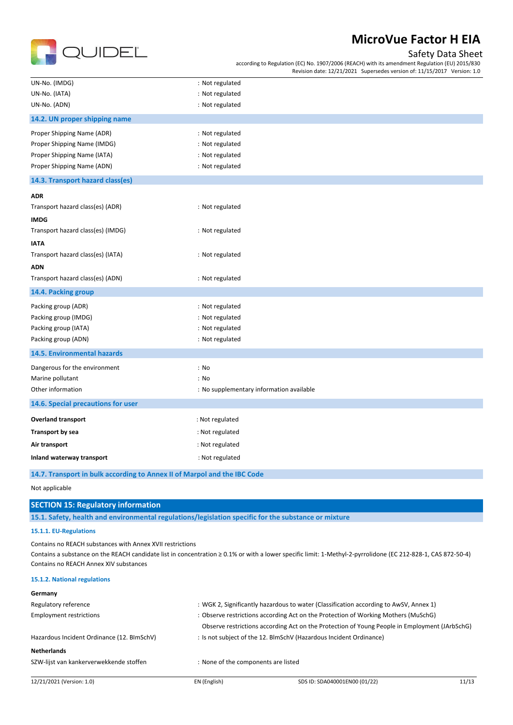

## Safety Data Sheet

according to Regulation (EC) No. 1907/2006 (REACH) with its amendment Regulation (EU) 2015/830 Revision date: 12/21/2021 Supersedes version of: 11/15/2017 Version: 1.0

| UN-No. (IMDG)                      | : Not regulated                          |
|------------------------------------|------------------------------------------|
| UN-No. (IATA)                      | : Not regulated                          |
| UN-No. (ADN)                       | : Not regulated                          |
| 14.2. UN proper shipping name      |                                          |
| Proper Shipping Name (ADR)         | : Not regulated                          |
| Proper Shipping Name (IMDG)        | : Not regulated                          |
| Proper Shipping Name (IATA)        | : Not regulated                          |
| Proper Shipping Name (ADN)         | : Not regulated                          |
| 14.3. Transport hazard class(es)   |                                          |
| <b>ADR</b>                         |                                          |
| Transport hazard class(es) (ADR)   | : Not regulated                          |
| <b>IMDG</b>                        |                                          |
| Transport hazard class(es) (IMDG)  | : Not regulated                          |
| <b>IATA</b>                        |                                          |
| Transport hazard class(es) (IATA)  | : Not regulated                          |
| <b>ADN</b>                         |                                          |
| Transport hazard class(es) (ADN)   | : Not regulated                          |
| 14.4. Packing group                |                                          |
| Packing group (ADR)                | : Not regulated                          |
| Packing group (IMDG)               | : Not regulated                          |
| Packing group (IATA)               | : Not regulated                          |
| Packing group (ADN)                | : Not regulated                          |
| 14.5. Environmental hazards        |                                          |
| Dangerous for the environment      | : No                                     |
| Marine pollutant                   | : No                                     |
| Other information                  | : No supplementary information available |
| 14.6. Special precautions for user |                                          |
| <b>Overland transport</b>          | : Not regulated                          |
| <b>Transport by sea</b>            | : Not regulated                          |
| Air transport                      | : Not regulated                          |
| Inland waterway transport          | : Not regulated                          |
|                                    |                                          |

**14.7. Transport in bulk according to Annex II of Marpol and the IBC Code**

Not applicable

## **SECTION 15: Regulatory information**

**15.1. Safety, health and environmental regulations/legislation specific for the substance or mixture**

### **15.1.1. EU-Regulations**

Contains no REACH substances with Annex XVII restrictions

Contains a substance on the REACH candidate list in concentration ≥ 0.1% or with a lower specific limit: 1-Methyl-2-pyrrolidone (EC 212-828-1, CAS 872-50-4) Contains no REACH Annex XIV substances

#### **15.1.2. National regulations**

| Germany                                    |                                                                                       |                                                                                               |       |
|--------------------------------------------|---------------------------------------------------------------------------------------|-----------------------------------------------------------------------------------------------|-------|
| Regulatory reference                       | : WGK 2, Significantly hazardous to water (Classification according to AwSV, Annex 1) |                                                                                               |       |
| <b>Employment restrictions</b>             | : Observe restrictions according Act on the Protection of Working Mothers (MuSchG)    |                                                                                               |       |
|                                            |                                                                                       | Observe restrictions according Act on the Protection of Young People in Employment (JArbSchG) |       |
| Hazardous Incident Ordinance (12. BImSchV) |                                                                                       | : Is not subject of the 12. BlmSchV (Hazardous Incident Ordinance)                            |       |
| <b>Netherlands</b>                         |                                                                                       |                                                                                               |       |
| SZW-lijst van kankerverwekkende stoffen    | : None of the components are listed                                                   |                                                                                               |       |
| 12/21/2021 (Version: 1.0)                  | EN (English)                                                                          | SDS ID: SDA040001EN00 (01/22)                                                                 | 11/13 |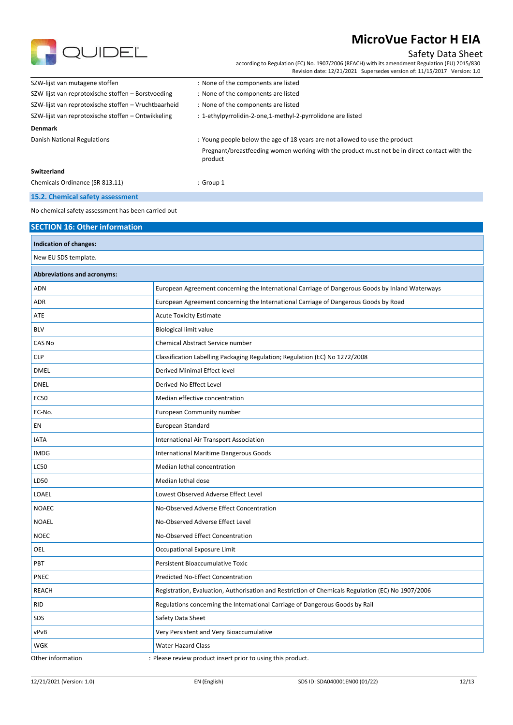

## Safety Data Sheet

according to Regulation (EC) No. 1907/2006 (REACH) with its amendment Regulation (EU) 2015/830 Revision date: 12/21/2021 Supersedes version of: 11/15/2017 Version: 1.0

| SZW-lijst van mutagene stoffen                       | : None of the components are listed                                                                     |
|------------------------------------------------------|---------------------------------------------------------------------------------------------------------|
| SZW-lijst van reprotoxische stoffen - Borstvoeding   | : None of the components are listed                                                                     |
| SZW-lijst van reprotoxische stoffen - Vruchtbaarheid | : None of the components are listed                                                                     |
| SZW-lijst van reprotoxische stoffen - Ontwikkeling   | : 1-ethylpyrrolidin-2-one,1-methyl-2-pyrrolidone are listed                                             |
| <b>Denmark</b>                                       |                                                                                                         |
| Danish National Regulations                          | : Young people below the age of 18 years are not allowed to use the product                             |
|                                                      | Pregnant/breastfeeding women working with the product must not be in direct contact with the<br>product |
| <b>Switzerland</b>                                   |                                                                                                         |
| Chemicals Ordinance (SR 813.11)                      | $:$ Group 1                                                                                             |
| 15.2. Chemical safety assessment                     |                                                                                                         |

No chemical safety assessment has been carried out

| Indication of changes:             |                                                                                                   |  |
|------------------------------------|---------------------------------------------------------------------------------------------------|--|
| New EU SDS template.               |                                                                                                   |  |
| <b>Abbreviations and acronyms:</b> |                                                                                                   |  |
| ADN                                | European Agreement concerning the International Carriage of Dangerous Goods by Inland Waterways   |  |
| <b>ADR</b>                         | European Agreement concerning the International Carriage of Dangerous Goods by Road               |  |
| ATE                                | <b>Acute Toxicity Estimate</b>                                                                    |  |
| <b>BLV</b>                         | <b>Biological limit value</b>                                                                     |  |
| CAS No                             | Chemical Abstract Service number                                                                  |  |
| <b>CLP</b>                         | Classification Labelling Packaging Regulation; Regulation (EC) No 1272/2008                       |  |
| <b>DMEL</b>                        | Derived Minimal Effect level                                                                      |  |
| <b>DNEL</b>                        | Derived-No Effect Level                                                                           |  |
| <b>EC50</b>                        | Median effective concentration                                                                    |  |
| EC-No.                             | European Community number                                                                         |  |
| EN                                 | European Standard                                                                                 |  |
| <b>IATA</b>                        | International Air Transport Association                                                           |  |
| <b>IMDG</b>                        | International Maritime Dangerous Goods                                                            |  |
| <b>LC50</b>                        | Median lethal concentration                                                                       |  |
| LD50                               | Median lethal dose                                                                                |  |
| LOAEL                              | Lowest Observed Adverse Effect Level                                                              |  |
| <b>NOAEC</b>                       | No-Observed Adverse Effect Concentration                                                          |  |
| <b>NOAEL</b>                       | No-Observed Adverse Effect Level                                                                  |  |
| <b>NOEC</b>                        | No-Observed Effect Concentration                                                                  |  |
| OEL                                | Occupational Exposure Limit                                                                       |  |
| PBT                                | Persistent Bioaccumulative Toxic                                                                  |  |
| PNEC                               | Predicted No-Effect Concentration                                                                 |  |
| <b>REACH</b>                       | Registration, Evaluation, Authorisation and Restriction of Chemicals Regulation (EC) No 1907/2006 |  |
| <b>RID</b>                         | Regulations concerning the International Carriage of Dangerous Goods by Rail                      |  |
| SDS                                | Safety Data Sheet                                                                                 |  |
| vPvB                               | Very Persistent and Very Bioaccumulative                                                          |  |
| WGK                                | <b>Water Hazard Class</b>                                                                         |  |
| Other information                  | : Please review product insert prior to using this product.                                       |  |